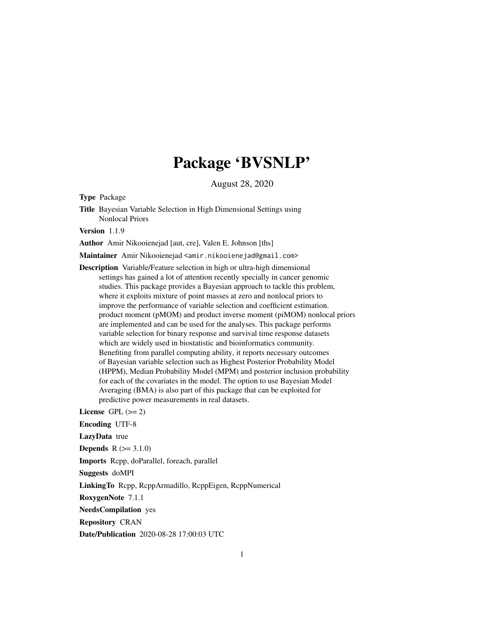## Package 'BVSNLP'

August 28, 2020

Type Package

Title Bayesian Variable Selection in High Dimensional Settings using Nonlocal Priors

Version 1.1.9

Author Amir Nikooienejad [aut, cre], Valen E. Johnson [ths]

Maintainer Amir Nikooienejad <amir.nikooienejad@gmail.com>

Description Variable/Feature selection in high or ultra-high dimensional settings has gained a lot of attention recently specially in cancer genomic studies. This package provides a Bayesian approach to tackle this problem, where it exploits mixture of point masses at zero and nonlocal priors to improve the performance of variable selection and coefficient estimation. product moment (pMOM) and product inverse moment (piMOM) nonlocal priors are implemented and can be used for the analyses. This package performs variable selection for binary response and survival time response datasets which are widely used in biostatistic and bioinformatics community. Benefiting from parallel computing ability, it reports necessary outcomes of Bayesian variable selection such as Highest Posterior Probability Model (HPPM), Median Probability Model (MPM) and posterior inclusion probability for each of the covariates in the model. The option to use Bayesian Model Averaging (BMA) is also part of this package that can be exploited for predictive power measurements in real datasets.

License GPL  $(>= 2)$ 

Encoding UTF-8

LazyData true

**Depends**  $R (= 3.1.0)$ 

Imports Rcpp, doParallel, foreach, parallel

Suggests doMPI

LinkingTo Rcpp, RcppArmadillo, RcppEigen, RcppNumerical

RoxygenNote 7.1.1

NeedsCompilation yes

Repository CRAN

Date/Publication 2020-08-28 17:00:03 UTC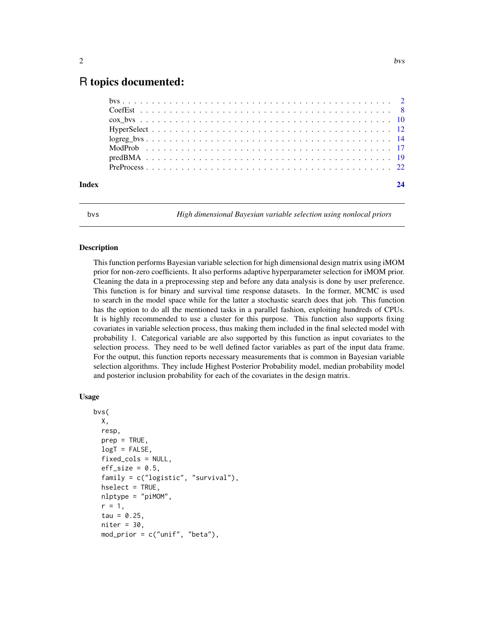### <span id="page-1-0"></span>R topics documented:

| Index | 24 |
|-------|----|
|       |    |
|       |    |
|       |    |
|       |    |
|       |    |
|       |    |
|       |    |
|       |    |

<span id="page-1-1"></span>

bvs *High dimensional Bayesian variable selection using nonlocal priors*

### Description

This function performs Bayesian variable selection for high dimensional design matrix using iMOM prior for non-zero coefficients. It also performs adaptive hyperparameter selection for iMOM prior. Cleaning the data in a preprocessing step and before any data analysis is done by user preference. This function is for binary and survival time response datasets. In the former, MCMC is used to search in the model space while for the latter a stochastic search does that job. This function has the option to do all the mentioned tasks in a parallel fashion, exploiting hundreds of CPUs. It is highly recommended to use a cluster for this purpose. This function also supports fixing covariates in variable selection process, thus making them included in the final selected model with probability 1. Categorical variable are also supported by this function as input covariates to the selection process. They need to be well defined factor variables as part of the input data frame. For the output, this function reports necessary measurements that is common in Bayesian variable selection algorithms. They include Highest Posterior Probability model, median probability model and posterior inclusion probability for each of the covariates in the design matrix.

### Usage

```
bvs(
 X,
  resp,
 prep = TRUE,logT = FALSE,
  fixed_cols = NULL,
  eff\_size = 0.5,
  family = c("logistic", "survival"),
  hselect = TRUE,
  nlptype = "piMOM",
  r = 1,
  tau = 0.25,
  niter = 30,
  mod\_prior = c("unif", "beta"),
```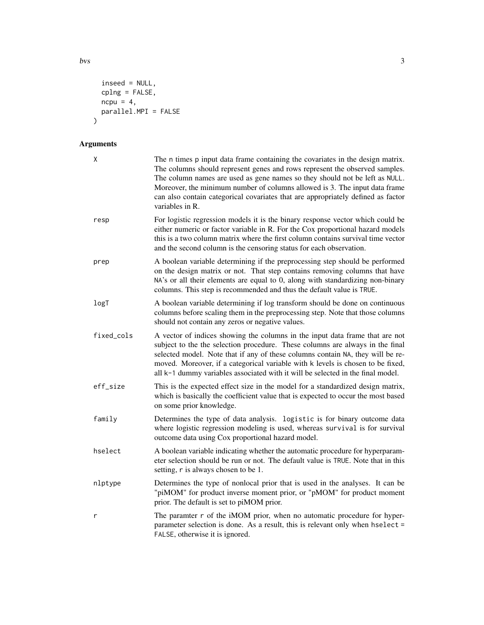```
inseed = NULL,
 cplng = FALSE,ncpu = 4,
 parallel.MPI = FALSE
\mathcal{L}
```
## Arguments

| χ                | The n times p input data frame containing the covariates in the design matrix.<br>The columns should represent genes and rows represent the observed samples.<br>The column names are used as gene names so they should not be left as NULL.<br>Moreover, the minimum number of columns allowed is 3. The input data frame<br>can also contain categorical covariates that are appropriately defined as factor<br>variables in R. |
|------------------|-----------------------------------------------------------------------------------------------------------------------------------------------------------------------------------------------------------------------------------------------------------------------------------------------------------------------------------------------------------------------------------------------------------------------------------|
| resp             | For logistic regression models it is the binary response vector which could be<br>either numeric or factor variable in R. For the Cox proportional hazard models<br>this is a two column matrix where the first column contains survival time vector<br>and the second column is the censoring status for each observation.                                                                                                       |
| prep             | A boolean variable determining if the preprocessing step should be performed<br>on the design matrix or not. That step contains removing columns that have<br>NA's or all their elements are equal to 0, along with standardizing non-binary<br>columns. This step is recommended and thus the default value is TRUE.                                                                                                             |
| log <sub>T</sub> | A boolean variable determining if log transform should be done on continuous<br>columns before scaling them in the preprocessing step. Note that those columns<br>should not contain any zeros or negative values.                                                                                                                                                                                                                |
| fixed_cols       | A vector of indices showing the columns in the input data frame that are not<br>subject to the the selection procedure. These columns are always in the final<br>selected model. Note that if any of these columns contain NA, they will be re-<br>moved. Moreover, if a categorical variable with k levels is chosen to be fixed,<br>all k-1 dummy variables associated with it will be selected in the final model.             |
| eff_size         | This is the expected effect size in the model for a standardized design matrix,<br>which is basically the coefficient value that is expected to occur the most based<br>on some prior knowledge.                                                                                                                                                                                                                                  |
| family           | Determines the type of data analysis. logistic is for binary outcome data<br>where logistic regression modeling is used, whereas survival is for survival<br>outcome data using Cox proportional hazard model.                                                                                                                                                                                                                    |
| hselect          | A boolean variable indicating whether the automatic procedure for hyperparam-<br>eter selection should be run or not. The default value is TRUE. Note that in this<br>setting, r is always chosen to be 1.                                                                                                                                                                                                                        |
| nlptype          | Determines the type of nonlocal prior that is used in the analyses. It can be<br>"piMOM" for product inverse moment prior, or "pMOM" for product moment<br>prior. The default is set to piMOM prior.                                                                                                                                                                                                                              |
| r                | The paramter r of the iMOM prior, when no automatic procedure for hyper-<br>parameter selection is done. As a result, this is relevant only when hselect =<br>FALSE, otherwise it is ignored.                                                                                                                                                                                                                                     |

bvs 3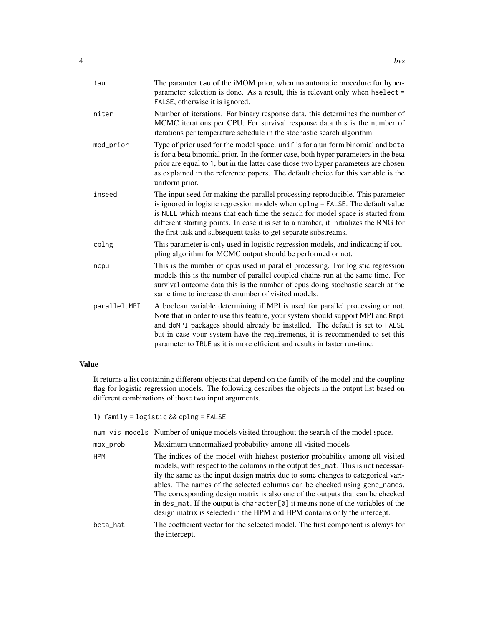| tau          | The paramter tau of the iMOM prior, when no automatic procedure for hyper-<br>parameter selection is done. As a result, this is relevant only when hselect =<br>FALSE, otherwise it is ignored.                                                                                                                                                                                                              |
|--------------|--------------------------------------------------------------------------------------------------------------------------------------------------------------------------------------------------------------------------------------------------------------------------------------------------------------------------------------------------------------------------------------------------------------|
| niter        | Number of iterations. For binary response data, this determines the number of<br>MCMC iterations per CPU. For survival response data this is the number of<br>iterations per temperature schedule in the stochastic search algorithm.                                                                                                                                                                        |
| mod_prior    | Type of prior used for the model space. unif is for a uniform binomial and beta<br>is for a beta binomial prior. In the former case, both hyper parameters in the beta<br>prior are equal to 1, but in the latter case those two hyper parameters are chosen<br>as explained in the reference papers. The default choice for this variable is the<br>uniform prior.                                          |
| inseed       | The input seed for making the parallel processing reproducible. This parameter<br>is ignored in logistic regression models when cplng = FALSE. The default value<br>is NULL which means that each time the search for model space is started from<br>different starting points. In case it is set to a number, it initializes the RNG for<br>the first task and subsequent tasks to get separate substreams. |
| cplng        | This parameter is only used in logistic regression models, and indicating if cou-<br>pling algorithm for MCMC output should be performed or not.                                                                                                                                                                                                                                                             |
| ncpu         | This is the number of cpus used in parallel processing. For logistic regression<br>models this is the number of parallel coupled chains run at the same time. For<br>survival outcome data this is the number of cpus doing stochastic search at the<br>same time to increase th enumber of visited models.                                                                                                  |
| parallel.MPI | A boolean variable determining if MPI is used for parallel processing or not.<br>Note that in order to use this feature, your system should support MPI and Rmpi<br>and doMPI packages should already be installed. The default is set to FALSE<br>but in case your system have the requirements, it is recommended to set this<br>parameter to TRUE as it is more efficient and results in faster run-time. |

### Value

It returns a list containing different objects that depend on the family of the model and the coupling flag for logistic regression models. The following describes the objects in the output list based on different combinations of those two input arguments.

1) family = logistic && cplng = FALSE

|            | num_vis_models Number of unique models visited throughout the search of the model space.                                                                                                                                                                                                                                                                                                                                                                                                                                                                                             |
|------------|--------------------------------------------------------------------------------------------------------------------------------------------------------------------------------------------------------------------------------------------------------------------------------------------------------------------------------------------------------------------------------------------------------------------------------------------------------------------------------------------------------------------------------------------------------------------------------------|
| max_prob   | Maximum unnormalized probability among all visited models                                                                                                                                                                                                                                                                                                                                                                                                                                                                                                                            |
| <b>HPM</b> | The indices of the model with highest posterior probability among all visited<br>models, with respect to the columns in the output des_mat. This is not necessar-<br>ily the same as the input design matrix due to some changes to categorical vari-<br>ables. The names of the selected columns can be checked using gene_names.<br>The corresponding design matrix is also one of the outputs that can be checked<br>in des_mat. If the output is character[0] it means none of the variables of the<br>design matrix is selected in the HPM and HPM contains only the intercept. |
| beta_hat   | The coefficient vector for the selected model. The first component is always for<br>the intercept.                                                                                                                                                                                                                                                                                                                                                                                                                                                                                   |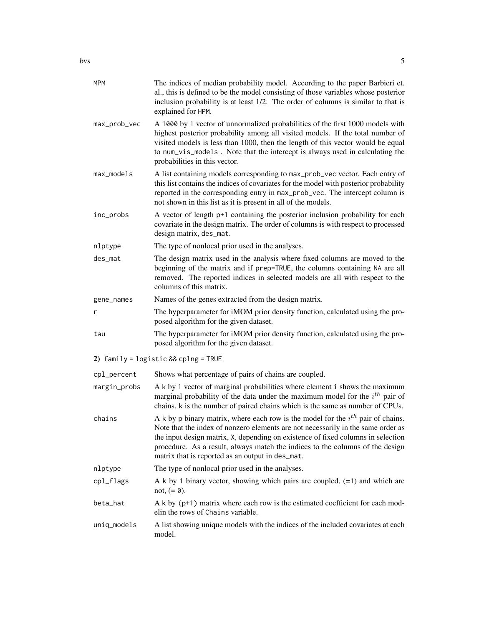| MPM          | The indices of median probability model. According to the paper Barbieri et.<br>al., this is defined to be the model consisting of those variables whose posterior<br>inclusion probability is at least 1/2. The order of columns is similar to that is<br>explained for HPM.                                                                                                                     |
|--------------|---------------------------------------------------------------------------------------------------------------------------------------------------------------------------------------------------------------------------------------------------------------------------------------------------------------------------------------------------------------------------------------------------|
| max_prob_vec | A 1000 by 1 vector of unnormalized probabilities of the first 1000 models with<br>highest posterior probability among all visited models. If the total number of<br>visited models is less than 1000, then the length of this vector would be equal<br>to num_vis_models. Note that the intercept is always used in calculating the<br>probabilities in this vector.                              |
| max_models   | A list containing models corresponding to max_prob_vec vector. Each entry of<br>this list contains the indices of covariates for the model with posterior probability<br>reported in the corresponding entry in max_prob_vec. The intercept column is<br>not shown in this list as it is present in all of the models.                                                                            |
| inc_probs    | A vector of length p+1 containing the posterior inclusion probability for each<br>covariate in the design matrix. The order of columns is with respect to processed<br>design matrix, des_mat.                                                                                                                                                                                                    |
| nlptype      | The type of nonlocal prior used in the analyses.                                                                                                                                                                                                                                                                                                                                                  |
| des_mat      | The design matrix used in the analysis where fixed columns are moved to the<br>beginning of the matrix and if prep=TRUE, the columns containing NA are all<br>removed. The reported indices in selected models are all with respect to the<br>columns of this matrix.                                                                                                                             |
| gene_names   | Names of the genes extracted from the design matrix.                                                                                                                                                                                                                                                                                                                                              |
| r            | The hyperparameter for iMOM prior density function, calculated using the pro-<br>posed algorithm for the given dataset.                                                                                                                                                                                                                                                                           |
| tau          | The hyperparameter for iMOM prior density function, calculated using the pro-<br>posed algorithm for the given dataset.                                                                                                                                                                                                                                                                           |
|              | 2) family = logistic && cplng = TRUE                                                                                                                                                                                                                                                                                                                                                              |
| cpl_percent  | Shows what percentage of pairs of chains are coupled.                                                                                                                                                                                                                                                                                                                                             |
| margin_probs | A k by 1 vector of marginal probabilities where element i shows the maximum<br>marginal probability of the data under the maximum model for the $ith$ pair of<br>chains. k is the number of paired chains which is the same as number of CPUs.                                                                                                                                                    |
| chains       | A k by p binary matrix, where each row is the model for the $i^{th}$ pair of chains.<br>Note that the index of nonzero elements are not necessarily in the same order as<br>the input design matrix, X, depending on existence of fixed columns in selection<br>procedure. As a result, always match the indices to the columns of the design<br>matrix that is reported as an output in des_mat. |
| nlptype      | The type of nonlocal prior used in the analyses.                                                                                                                                                                                                                                                                                                                                                  |
| cpl_flags    | A k by 1 binary vector, showing which pairs are coupled, $(=1)$ and which are<br>not, $(=\emptyset)$ .                                                                                                                                                                                                                                                                                            |
| beta_hat     | $A$ k by ( $p+1$ ) matrix where each row is the estimated coefficient for each mod-<br>elin the rows of Chains variable.                                                                                                                                                                                                                                                                          |
| uniq_models  | A list showing unique models with the indices of the included covariates at each<br>model.                                                                                                                                                                                                                                                                                                        |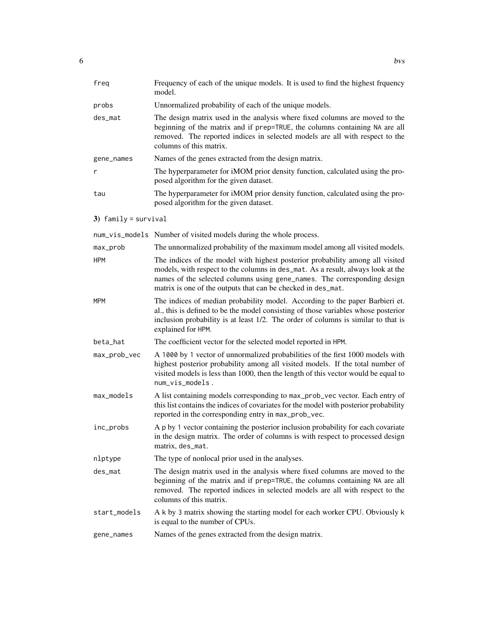| freq                 | Frequency of each of the unique models. It is used to find the highest frquency<br>model.                                                                                                                                                                                                                    |
|----------------------|--------------------------------------------------------------------------------------------------------------------------------------------------------------------------------------------------------------------------------------------------------------------------------------------------------------|
| probs                | Unnormalized probability of each of the unique models.                                                                                                                                                                                                                                                       |
| des_mat              | The design matrix used in the analysis where fixed columns are moved to the<br>beginning of the matrix and if prep=TRUE, the columns containing NA are all<br>removed. The reported indices in selected models are all with respect to the<br>columns of this matrix.                                        |
| gene_names           | Names of the genes extracted from the design matrix.                                                                                                                                                                                                                                                         |
| r                    | The hyperparameter for iMOM prior density function, calculated using the pro-<br>posed algorithm for the given dataset.                                                                                                                                                                                      |
| tau                  | The hyperparameter for iMOM prior density function, calculated using the pro-<br>posed algorithm for the given dataset.                                                                                                                                                                                      |
| 3) family = survival |                                                                                                                                                                                                                                                                                                              |
|                      | num_vis_models Number of visited models during the whole process.                                                                                                                                                                                                                                            |
| max_prob             | The unnormalized probability of the maximum model among all visited models.                                                                                                                                                                                                                                  |
| <b>HPM</b>           | The indices of the model with highest posterior probability among all visited<br>models, with respect to the columns in des_mat. As a result, always look at the<br>names of the selected columns using gene_names. The corresponding design<br>matrix is one of the outputs that can be checked in des_mat. |
| <b>MPM</b>           | The indices of median probability model. According to the paper Barbieri et.<br>al., this is defined to be the model consisting of those variables whose posterior<br>inclusion probability is at least 1/2. The order of columns is similar to that is<br>explained for HPM.                                |
| beta_hat             | The coefficient vector for the selected model reported in HPM.                                                                                                                                                                                                                                               |
| max_prob_vec         | A 1000 by 1 vector of unnormalized probabilities of the first 1000 models with<br>highest posterior probability among all visited models. If the total number of<br>visited models is less than 1000, then the length of this vector would be equal to<br>num_vis_models.                                    |
| max_models           | A list containing models corresponding to max_prob_vec vector. Each entry of<br>this list contains the indices of covariates for the model with posterior probability<br>reported in the corresponding entry in max_prob_vec.                                                                                |
| inc_probs            | A p by 1 vector containing the posterior inclusion probability for each covariate<br>in the design matrix. The order of columns is with respect to processed design<br>matrix, des_mat.                                                                                                                      |
| nlptype              | The type of nonlocal prior used in the analyses.                                                                                                                                                                                                                                                             |
| des_mat              | The design matrix used in the analysis where fixed columns are moved to the<br>beginning of the matrix and if prep=TRUE, the columns containing NA are all<br>removed. The reported indices in selected models are all with respect to the<br>columns of this matrix.                                        |
| start_models         | A k by 3 matrix showing the starting model for each worker CPU. Obviously k<br>is equal to the number of CPUs.                                                                                                                                                                                               |
| gene_names           | Names of the genes extracted from the design matrix.                                                                                                                                                                                                                                                         |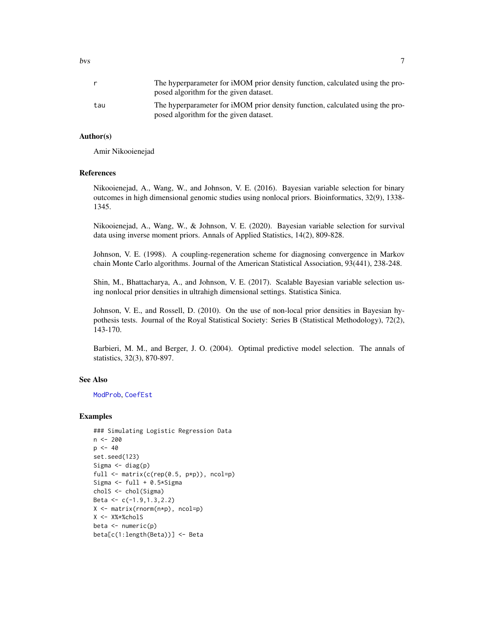### <span id="page-6-0"></span>Author(s)

Amir Nikooienejad

### References

Nikooienejad, A., Wang, W., and Johnson, V. E. (2016). Bayesian variable selection for binary outcomes in high dimensional genomic studies using nonlocal priors. Bioinformatics, 32(9), 1338- 1345.

Nikooienejad, A., Wang, W., & Johnson, V. E. (2020). Bayesian variable selection for survival data using inverse moment priors. Annals of Applied Statistics, 14(2), 809-828.

Johnson, V. E. (1998). A coupling-regeneration scheme for diagnosing convergence in Markov chain Monte Carlo algorithms. Journal of the American Statistical Association, 93(441), 238-248.

Shin, M., Bhattacharya, A., and Johnson, V. E. (2017). Scalable Bayesian variable selection using nonlocal prior densities in ultrahigh dimensional settings. Statistica Sinica.

Johnson, V. E., and Rossell, D. (2010). On the use of non-local prior densities in Bayesian hypothesis tests. Journal of the Royal Statistical Society: Series B (Statistical Methodology), 72(2), 143-170.

Barbieri, M. M., and Berger, J. O. (2004). Optimal predictive model selection. The annals of statistics, 32(3), 870-897.

### See Also

[ModProb](#page-16-1), [CoefEst](#page-7-1)

### Examples

```
### Simulating Logistic Regression Data
n < -200p \le -40set.seed(123)
Sigma \leftarrow diag(p)
full <- matrix(c(rep(0.5, p*p)), ncol=p)
Sigma \le full + 0.5*Sigma
cholS <- chol(Sigma)
Beta <- c(-1.9,1.3,2.2)
X <- matrix(rnorm(n*p), ncol=p)
X <- X%*%cholS
beta <- numeric(p)
beta[c(1:length(Beta))] <- Beta
```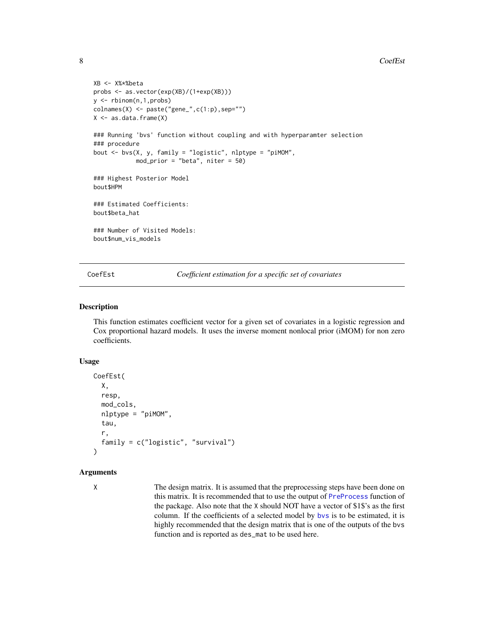```
XB <- X%*%beta
probs <- as.vector(exp(XB)/(1+exp(XB)))
y <- rbinom(n,1,probs)
\text{colnames}(X) \leq \text{past}(''\text{gene}_-,c(1:p),\text{sep}^{=''''})X <- as.data.frame(X)
### Running 'bvs' function without coupling and with hyperparamter selection
### procedure
bout \leq bvs(X, y, family = "logistic", nlptype = "piMOM",
             mod_prior = "beta", niter = 50)
### Highest Posterior Model
bout$HPM
### Estimated Coefficients:
bout$beta_hat
### Number of Visited Models:
bout$num_vis_models
```
<span id="page-7-1"></span>CoefEst *Coefficient estimation for a specific set of covariates*

### Description

This function estimates coefficient vector for a given set of covariates in a logistic regression and Cox proportional hazard models. It uses the inverse moment nonlocal prior (iMOM) for non zero coefficients.

### Usage

```
CoefEst(
  X,
  resp,
  mod_cols,
  nlptype = "piMOM",
  tau,
  r,
  family = c("logistic", "survival")
\lambda
```
### Arguments

X The design matrix. It is assumed that the preprocessing steps have been done on this matrix. It is recommended that to use the output of [PreProcess](#page-21-1) function of the package. Also note that the X should NOT have a vector of \$1\$'s as the first column. If the coefficients of a selected model by [bvs](#page-1-1) is to be estimated, it is highly recommended that the design matrix that is one of the outputs of the bvs function and is reported as des\_mat to be used here.

<span id="page-7-0"></span>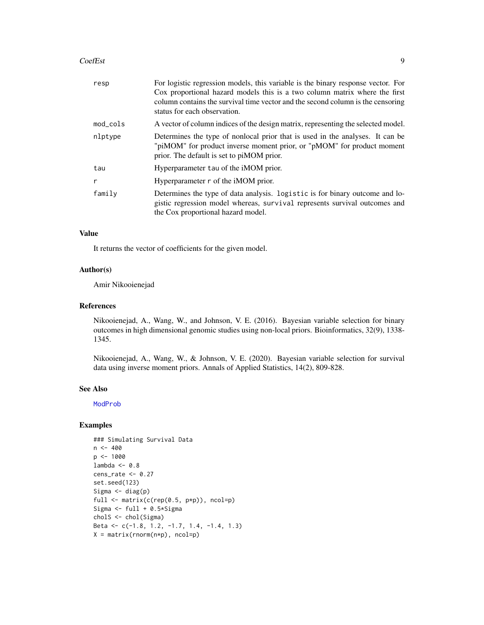### <span id="page-8-0"></span>CoefEst 9

| resp     | For logistic regression models, this variable is the binary response vector. For<br>Cox proportional hazard models this is a two column matrix where the first<br>column contains the survival time vector and the second column is the censoring<br>status for each observation. |
|----------|-----------------------------------------------------------------------------------------------------------------------------------------------------------------------------------------------------------------------------------------------------------------------------------|
| mod_cols | A vector of column indices of the design matrix, representing the selected model.                                                                                                                                                                                                 |
| nlptype  | Determines the type of nonlocal prior that is used in the analyses. It can be<br>"piMOM" for product inverse moment prior, or "pMOM" for product moment<br>prior. The default is set to piMOM prior.                                                                              |
| tau      | Hyperparameter tau of the iMOM prior.                                                                                                                                                                                                                                             |
| r        | Hyperparameter r of the iMOM prior.                                                                                                                                                                                                                                               |
| family   | Determines the type of data analysis. Logistic is for binary outcome and lo-<br>gistic regression model whereas, survival represents survival outcomes and<br>the Cox proportional hazard model.                                                                                  |

### Value

It returns the vector of coefficients for the given model.

### Author(s)

Amir Nikooienejad

### References

Nikooienejad, A., Wang, W., and Johnson, V. E. (2016). Bayesian variable selection for binary outcomes in high dimensional genomic studies using non-local priors. Bioinformatics, 32(9), 1338- 1345.

Nikooienejad, A., Wang, W., & Johnson, V. E. (2020). Bayesian variable selection for survival data using inverse moment priors. Annals of Applied Statistics, 14(2), 809-828.

#### See Also

[ModProb](#page-16-1)

### Examples

```
### Simulating Survival Data
n < -400p <- 1000
lambda <-0.8cens_rate <-0.27set.seed(123)
Sigma \leftarrow diag(p)
full <- matrix(c(rep(0.5, p*p)), ncol=p)
Sigma <- full + 0.5*Sigma
cholS <- chol(Sigma)
Beta <- c(-1.8, 1.2, -1.7, 1.4, -1.4, 1.3)
X = matrix(rnorm(n*p), ncol=p)
```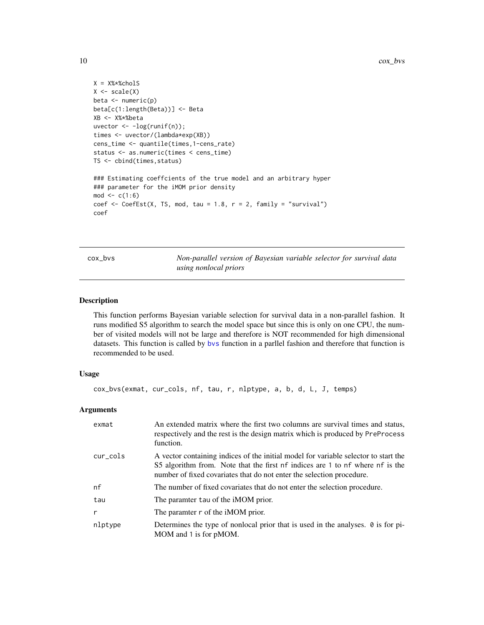```
X = X%*%cholS
X \leftarrow scale(X)beta <- numeric(p)
beta[c(1:length(Beta))] <- Beta
XB <- X%*%beta
uvector <- -log(runif(n));
times <- uvector/(lambda*exp(XB))
cens_time <- quantile(times,1-cens_rate)
status <- as.numeric(times < cens_time)
TS <- cbind(times,status)
### Estimating coeffcients of the true model and an arbitrary hyper
### parameter for the iMOM prior density
mod < -c(1:6)coef \leq CoefEst(X, TS, mod, tau = 1.8, r = 2, family = "survival")
coef
```
cox\_bvs *Non-parallel version of Bayesian variable selector for survival data using nonlocal priors*

### Description

This function performs Bayesian variable selection for survival data in a non-parallel fashion. It runs modified S5 algorithm to search the model space but since this is only on one CPU, the number of visited models will not be large and therefore is NOT recommended for high dimensional datasets. This function is called by [bvs](#page-1-1) function in a parllel fashion and therefore that function is recommended to be used.

### Usage

```
cox_bvs(exmat, cur_cols, nf, tau, r, nlptype, a, b, d, L, J, temps)
```
### **Arguments**

| exmat    | An extended matrix where the first two columns are survival times and status,<br>respectively and the rest is the design matrix which is produced by PreProcess<br>function.                                                                  |
|----------|-----------------------------------------------------------------------------------------------------------------------------------------------------------------------------------------------------------------------------------------------|
| cur_cols | A vector containing indices of the initial model for variable selector to start the<br>S5 algorithm from. Note that the first of indices are 1 to of where of is the<br>number of fixed covariates that do not enter the selection procedure. |
| nf       | The number of fixed covariates that do not enter the selection procedure.                                                                                                                                                                     |
| tau      | The paramter tau of the <i>iMOM</i> prior.                                                                                                                                                                                                    |
| r        | The paramter r of the iMOM prior.                                                                                                                                                                                                             |
| nlptype  | Determines the type of nonlocal prior that is used in the analyses. 0 is for pi-<br>MOM and 1 is for pMOM.                                                                                                                                    |

<span id="page-9-0"></span>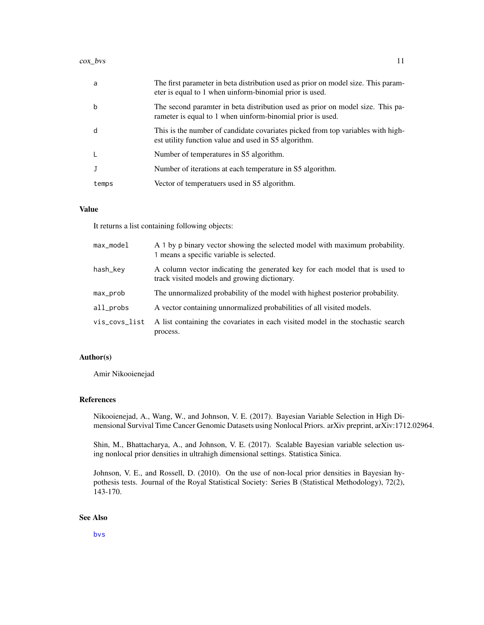<span id="page-10-0"></span>

| a     | The first parameter in beta distribution used as prior on model size. This param-<br>eter is equal to 1 when uinform-binomial prior is used. |
|-------|----------------------------------------------------------------------------------------------------------------------------------------------|
| b     | The second paramter in beta distribution used as prior on model size. This pa-<br>rameter is equal to 1 when uinform-binomial prior is used. |
| d     | This is the number of candidate covariates picked from top variables with high-<br>est utility function value and used in S5 algorithm.      |
|       | Number of temperatures in S5 algorithm.                                                                                                      |
|       | Number of iterations at each temperature in S5 algorithm.                                                                                    |
| temps | Vector of temperatuers used in S5 algorithm.                                                                                                 |

### Value

It returns a list containing following objects:

| $max_model$   | A 1 by p binary vector showing the selected model with maximum probability.<br>1 means a specific variable is selected.     |
|---------------|-----------------------------------------------------------------------------------------------------------------------------|
| hash_key      | A column vector indicating the generated key for each model that is used to<br>track visited models and growing dictionary. |
| max_prob      | The unnormalized probability of the model with highest posterior probability.                                               |
| all_probs     | A vector containing unnormalized probabilities of all visited models.                                                       |
| vis_covs_list | A list containing the covariates in each visited model in the stochastic search<br>process.                                 |

### Author(s)

Amir Nikooienejad

### References

Nikooienejad, A., Wang, W., and Johnson, V. E. (2017). Bayesian Variable Selection in High Dimensional Survival Time Cancer Genomic Datasets using Nonlocal Priors. arXiv preprint, arXiv:1712.02964.

Shin, M., Bhattacharya, A., and Johnson, V. E. (2017). Scalable Bayesian variable selection using nonlocal prior densities in ultrahigh dimensional settings. Statistica Sinica.

Johnson, V. E., and Rossell, D. (2010). On the use of non-local prior densities in Bayesian hypothesis tests. Journal of the Royal Statistical Society: Series B (Statistical Methodology), 72(2), 143-170.

### See Also

[bvs](#page-1-1)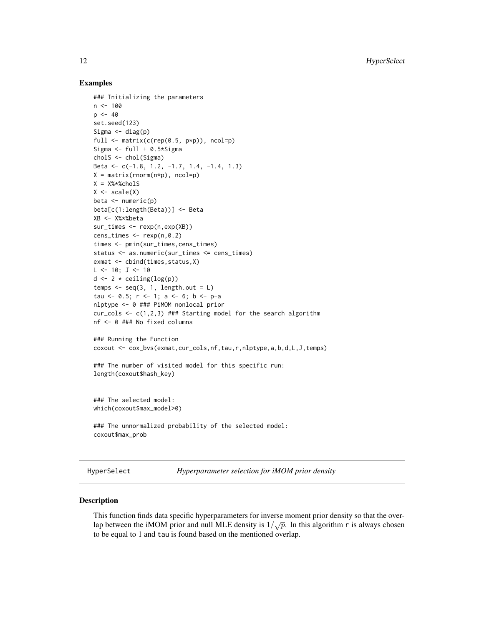### Examples

```
### Initializing the parameters
n < -100p \le -40set.seed(123)
Sigma \leftarrow diag(p)
full <- matrix(c(rep(0.5, p*p)), ncol=p)
Sigma <- full + 0.5*Sigma
cholS <- chol(Sigma)
Beta <- c(-1.8, 1.2, -1.7, 1.4, -1.4, 1.3)
X = matrix(rnorm(n*p), ncol=p)X = X\% * %cholSX \leftarrow scale(X)beta <- numeric(p)
beta[c(1:length(Beta))] <- Beta
XB <- X%*%beta
sur_times <- rexp(n,exp(XB))
cens_times < - resp(n, \emptyset.2)times <- pmin(sur_times,cens_times)
status <- as.numeric(sur_times <= cens_times)
exmat <- cbind(times, status, X)
L < -10; J < -10d \leftarrow 2 * ceiling(log(p))temps < - seq(3, 1, length.out = L)tau <- 0.5; r <- 1; a <- 6; b <- p-anlptype <- 0 ### PiMOM nonlocal prior
cur_cols \leq c(1,2,3) ### Starting model for the search algorithm
nf <- 0 ### No fixed columns
### Running the Function
coxout <- cox_bvs(exmat,cur_cols,nf,tau,r,nlptype,a,b,d,L,J,temps)
### The number of visited model for this specific run:
length(coxout$hash_key)
### The selected model:
which(coxout$max_model>0)
### The unnormalized probability of the selected model:
coxout$max_prob
```
HyperSelect *Hyperparameter selection for iMOM prior density*

### Description

This function finds data specific hyperparameters for inverse moment prior density so that the overlap between the iMOM prior and null MLE density is  $1/\sqrt{p}$ . In this algorithm r is always chosen to be equal to 1 and tau is found based on the mentioned overlap.

<span id="page-11-0"></span>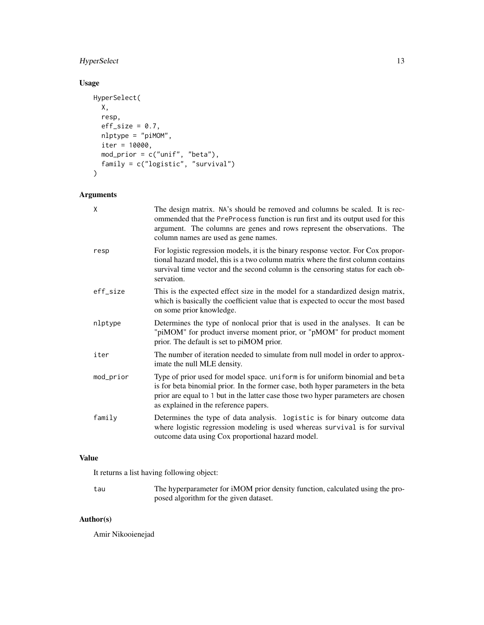### HyperSelect 13

### Usage

```
HyperSelect(
 X,
 resp,
 eff\_size = 0.7,
 nlptype = "piMOM",
 iter = 10000,
 mod_prior = c("unif", "beta"),
 family = c("logistic", "survival")
)
```
### Arguments

| X         | The design matrix. NA's should be removed and columns be scaled. It is rec-<br>ommended that the PreProcess function is run first and its output used for this<br>argument. The columns are genes and rows represent the observations. The<br>column names are used as gene names.              |
|-----------|-------------------------------------------------------------------------------------------------------------------------------------------------------------------------------------------------------------------------------------------------------------------------------------------------|
| resp      | For logistic regression models, it is the binary response vector. For Cox propor-<br>tional hazard model, this is a two column matrix where the first column contains<br>survival time vector and the second column is the censoring status for each ob-<br>servation.                          |
| eff_size  | This is the expected effect size in the model for a standardized design matrix,<br>which is basically the coefficient value that is expected to occur the most based<br>on some prior knowledge.                                                                                                |
| nlptype   | Determines the type of nonlocal prior that is used in the analyses. It can be<br>"piMOM" for product inverse moment prior, or "pMOM" for product moment<br>prior. The default is set to piMOM prior.                                                                                            |
| iter      | The number of iteration needed to simulate from null model in order to approx-<br>imate the null MLE density.                                                                                                                                                                                   |
| mod_prior | Type of prior used for model space. uniform is for uniform binomial and beta<br>is for beta binomial prior. In the former case, both hyper parameters in the beta<br>prior are equal to 1 but in the latter case those two hyper parameters are chosen<br>as explained in the reference papers. |
| family    | Determines the type of data analysis. logistic is for binary outcome data<br>where logistic regression modeling is used whereas survival is for survival<br>outcome data using Cox proportional hazard model.                                                                                   |

### Value

It returns a list having following object:

tau The hyperparameter for iMOM prior density function, calculated using the proposed algorithm for the given dataset.

### Author(s)

Amir Nikooienejad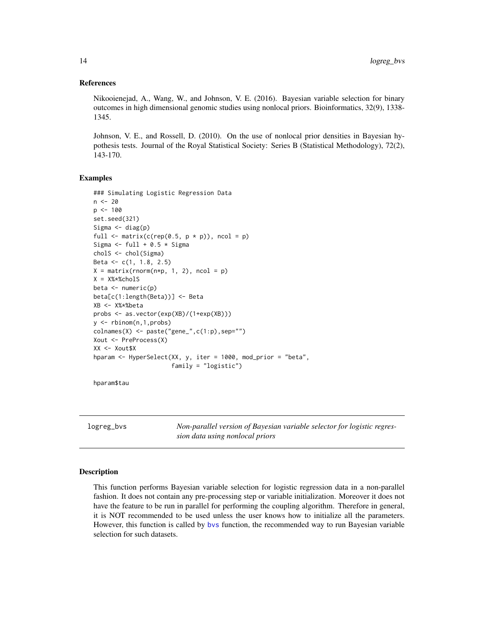### <span id="page-13-0"></span>References

Nikooienejad, A., Wang, W., and Johnson, V. E. (2016). Bayesian variable selection for binary outcomes in high dimensional genomic studies using nonlocal priors. Bioinformatics, 32(9), 1338- 1345.

Johnson, V. E., and Rossell, D. (2010). On the use of nonlocal prior densities in Bayesian hypothesis tests. Journal of the Royal Statistical Society: Series B (Statistical Methodology), 72(2), 143-170.

### Examples

```
### Simulating Logistic Regression Data
n < -20p \le -100set.seed(321)
Sigma \leftarrow diag(p)
full \leq matrix(c(rep(0.5, p * p), ncol = p)
Sigma \le full + 0.5 \star Sigma
cholS <- chol(Sigma)
Beta <- c(1, 1.8, 2.5)
X = matrix(rnorm(n*p, 1, 2), ncol = p)X = X\*%cholS
beta \leq numeric(p)
beta[c(1:length(Beta))] <- Beta
XB <- X%*%beta
probs <- as.vector(exp(XB)/(1+exp(XB)))
y <- rbinom(n,1,probs)
\text{columns}(X) \leq \text{paste}("gene", c(1:p), sep="")Xout <- PreProcess(X)
XX <- Xout$X
hparam <- HyperSelect(XX, y, iter = 1000, mod_prior = "beta",
                       family = "logistic")
```
hparam\$tau

logreg\_bvs *Non-parallel version of Bayesian variable selector for logistic regression data using nonlocal priors*

### Description

This function performs Bayesian variable selection for logistic regression data in a non-parallel fashion. It does not contain any pre-processing step or variable initialization. Moreover it does not have the feature to be run in parallel for performing the coupling algorithm. Therefore in general, it is NOT recommended to be used unless the user knows how to initialize all the parameters. However, this function is called by [bvs](#page-1-1) function, the recommended way to run Bayesian variable selection for such datasets.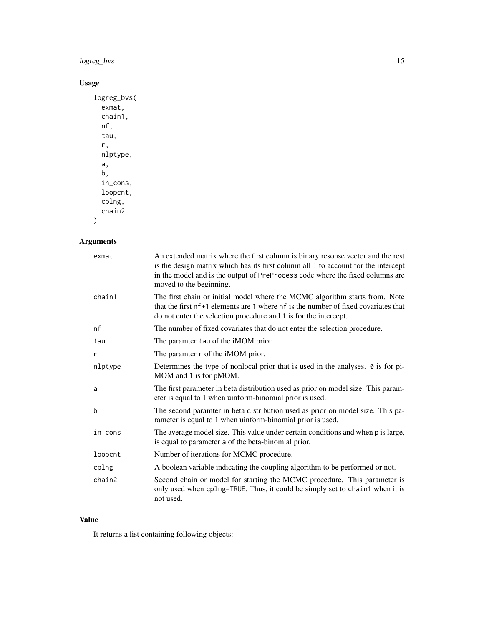### logreg\_bvs 15

### Usage

```
logreg_bvs(
  exmat,
  chain1,
  nf,
  tau,
  r,
  nlptype,
  a,
  b,
  in_cons,
  loopcnt,
  cplng,
  chain2
\,
```

| <b>Arguments</b> |                                                                                                                                                                                                                                                                                   |
|------------------|-----------------------------------------------------------------------------------------------------------------------------------------------------------------------------------------------------------------------------------------------------------------------------------|
| exmat            | An extended matrix where the first column is binary resonse vector and the rest<br>is the design matrix which has its first column all 1 to account for the intercept<br>in the model and is the output of PreProcess code where the fixed columns are<br>moved to the beginning. |
| chain1           | The first chain or initial model where the MCMC algorithm starts from. Note<br>that the first nf <sup>+1</sup> elements are 1 where nf is the number of fixed covariates that<br>do not enter the selection procedure and 1 is for the intercept.                                 |
| nf               | The number of fixed covariates that do not enter the selection procedure.                                                                                                                                                                                                         |
| tau              | The paramter tau of the iMOM prior.                                                                                                                                                                                                                                               |
| r                | The paramter r of the iMOM prior.                                                                                                                                                                                                                                                 |
| nlptype          | Determines the type of nonlocal prior that is used in the analyses. 0 is for pi-<br>MOM and 1 is for pMOM.                                                                                                                                                                        |
| a                | The first parameter in beta distribution used as prior on model size. This param-<br>eter is equal to 1 when uinform-binomial prior is used.                                                                                                                                      |
| b                | The second paramter in beta distribution used as prior on model size. This pa-<br>rameter is equal to 1 when uinform-binomial prior is used.                                                                                                                                      |
| in_cons          | The average model size. This value under certain conditions and when p is large,<br>is equal to parameter a of the beta-binomial prior.                                                                                                                                           |
| loopcnt          | Number of iterations for MCMC procedure.                                                                                                                                                                                                                                          |
| cplng            | A boolean variable indicating the coupling algorithm to be performed or not.                                                                                                                                                                                                      |
| chain2           | Second chain or model for starting the MCMC procedure. This parameter is<br>only used when cplng=TRUE. Thus, it could be simply set to chain1 when it is<br>not used.                                                                                                             |

### Value

It returns a list containing following objects: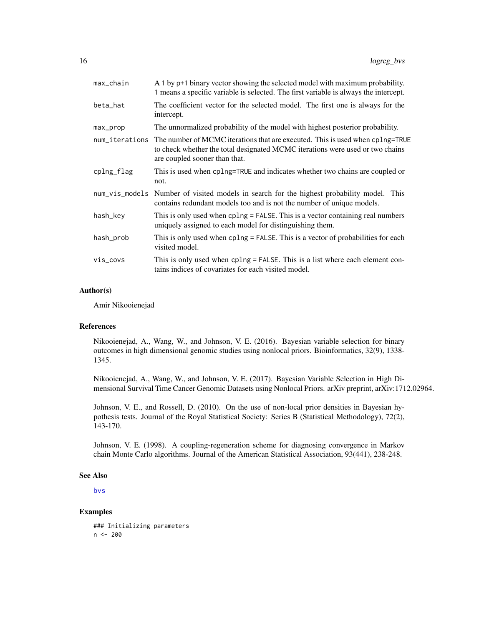<span id="page-15-0"></span>

| A 1 by p+1 binary vector showing the selected model with maximum probability.<br>1 means a specific variable is selected. The first variable is always the intercept.                           |
|-------------------------------------------------------------------------------------------------------------------------------------------------------------------------------------------------|
| The coefficient vector for the selected model. The first one is always for the<br>intercept.                                                                                                    |
| The unnormalized probability of the model with highest posterior probability.                                                                                                                   |
| The number of MCMC iterations that are executed. This is used when cplng=TRUE<br>to check whether the total designated MCMC iterations were used or two chains<br>are coupled sooner than that. |
| This is used when cplng=TRUE and indicates whether two chains are coupled or<br>not.                                                                                                            |
| num_vis_models Number of visited models in search for the highest probability model. This<br>contains redundant models too and is not the number of unique models.                              |
| This is only used when cplng = FALSE. This is a vector containing real numbers<br>uniquely assigned to each model for distinguishing them.                                                      |
| This is only used when cplng = FALSE. This is a vector of probabilities for each<br>visited model.                                                                                              |
| This is only used when cplng = FALSE. This is a list where each element con-<br>tains indices of covariates for each visited model.                                                             |
|                                                                                                                                                                                                 |

### Author(s)

Amir Nikooienejad

#### References

Nikooienejad, A., Wang, W., and Johnson, V. E. (2016). Bayesian variable selection for binary outcomes in high dimensional genomic studies using nonlocal priors. Bioinformatics, 32(9), 1338- 1345.

Nikooienejad, A., Wang, W., and Johnson, V. E. (2017). Bayesian Variable Selection in High Dimensional Survival Time Cancer Genomic Datasets using Nonlocal Priors. arXiv preprint, arXiv:1712.02964.

Johnson, V. E., and Rossell, D. (2010). On the use of non-local prior densities in Bayesian hypothesis tests. Journal of the Royal Statistical Society: Series B (Statistical Methodology), 72(2), 143-170.

Johnson, V. E. (1998). A coupling-regeneration scheme for diagnosing convergence in Markov chain Monte Carlo algorithms. Journal of the American Statistical Association, 93(441), 238-248.

### See Also

[bvs](#page-1-1)

### Examples

### Initializing parameters  $n < - 200$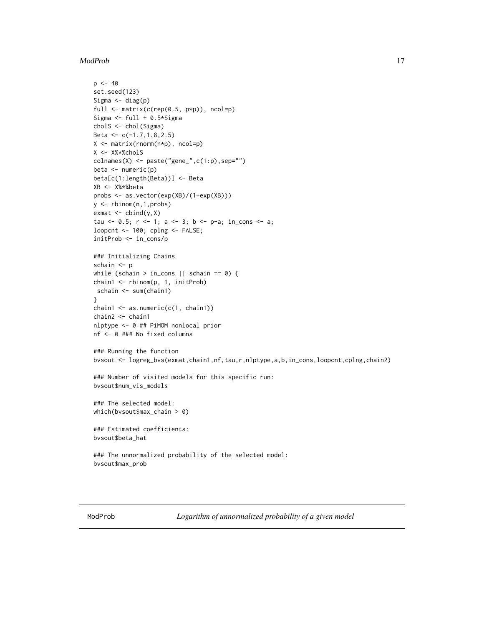### <span id="page-16-0"></span>ModProb 27 and 2012 17 and 2012 17 and 2012 17 and 2012 17 and 2012 17 and 2012 17 and 2012 17 and 2012 17 and 2012 17 and 2012 17 and 2012 17 and 2012 17 and 2012 17 and 2012 17 and 2012 17 and 2012 17 and 2012 17 and 201

```
p \le -40set.seed(123)
Sigma <- diag(p)
full \leq matrix(c(rep(0.5, p*p)), ncol=p)
Sigma <- full + 0.5*Sigma
cholS <- chol(Sigma)
Beta <- c(-1.7,1.8,2.5)
X <- matrix(rnorm(n*p), ncol=p)
X <- X%*%cholS
\text{colnames}(X) \leq \text{past}(''\text{gene}_-,c(1:p),\text{sep}^{=''''})beta <- numeric(p)
beta[c(1:length(Beta))] <- Beta
XB <- X%*%beta
probs <- as.vector(exp(XB)/(1+exp(XB)))
y <- rbinom(n,1,probs)
exmat < - child(y,X)tau <- 0.5; r <- 1; a <- 3; b <- p-a; in_cons <- a;
loopcnt <- 100; cplng <- FALSE;
initProb <- in_cons/p
### Initializing Chains
schain <- p
while (schain > in_cons || schain == 0) {
chain1 <- rbinom(p, 1, initProb)
schain <- sum(chain1)
}
chain1 \leq as.numeric(c(1, chain1))
chain2 <- chain1
nlptype <- 0 ## PiMOM nonlocal prior
nf <- 0 ### No fixed columns
### Running the function
bvsout <- logreg_bvs(exmat,chain1,nf,tau,r,nlptype,a,b,in_cons,loopcnt,cplng,chain2)
### Number of visited models for this specific run:
bvsout$num_vis_models
### The selected model:
which(bvsout$max_chain > 0)
### Estimated coefficients:
bvsout$beta_hat
### The unnormalized probability of the selected model:
bvsout$max_prob
```
<span id="page-16-1"></span>ModProb *Logarithm of unnormalized probability of a given model*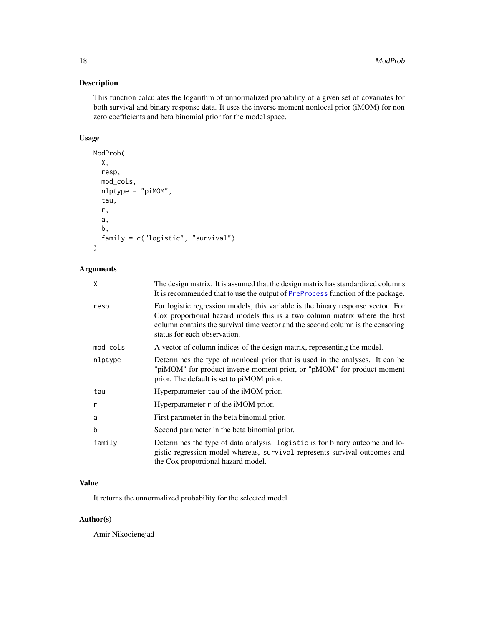### <span id="page-17-0"></span>Description

This function calculates the logarithm of unnormalized probability of a given set of covariates for both survival and binary response data. It uses the inverse moment nonlocal prior (iMOM) for non zero coefficients and beta binomial prior for the model space.

### Usage

```
ModProb(
  X,
  resp,
  mod_cols,
  nlptype = "piMOM",
  tau,
  r,
  a,
  b,
  family = c("logistic", "survival")
\mathcal{L}
```
### Arguments

| Χ        | The design matrix. It is assumed that the design matrix has standardized columns.<br>It is recommended that to use the output of PreProcess function of the package.                                                                                                              |
|----------|-----------------------------------------------------------------------------------------------------------------------------------------------------------------------------------------------------------------------------------------------------------------------------------|
| resp     | For logistic regression models, this variable is the binary response vector. For<br>Cox proportional hazard models this is a two column matrix where the first<br>column contains the survival time vector and the second column is the censoring<br>status for each observation. |
| mod_cols | A vector of column indices of the design matrix, representing the model.                                                                                                                                                                                                          |
| nlptype  | Determines the type of nonlocal prior that is used in the analyses. It can be<br>"piMOM" for product inverse moment prior, or "pMOM" for product moment<br>prior. The default is set to piMOM prior.                                                                              |
| tau      | Hyperparameter tau of the iMOM prior.                                                                                                                                                                                                                                             |
| r        | Hyperparameter r of the iMOM prior.                                                                                                                                                                                                                                               |
| a        | First parameter in the beta binomial prior.                                                                                                                                                                                                                                       |
| b        | Second parameter in the beta binomial prior.                                                                                                                                                                                                                                      |
| family   | Determines the type of data analysis. logistic is for binary outcome and lo-<br>gistic regression model whereas, survival represents survival outcomes and<br>the Cox proportional hazard model.                                                                                  |

### Value

It returns the unnormalized probability for the selected model.

### Author(s)

Amir Nikooienejad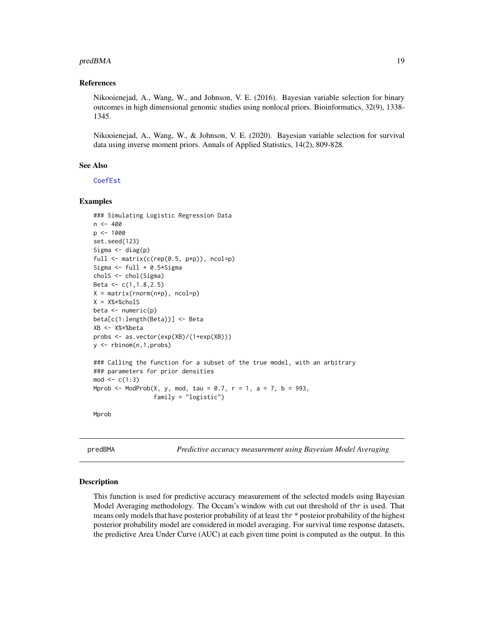### <span id="page-18-0"></span>predBMA 19

### References

Nikooienejad, A., Wang, W., and Johnson, V. E. (2016). Bayesian variable selection for binary outcomes in high dimensional genomic studies using nonlocal priors. Bioinformatics, 32(9), 1338- 1345.

Nikooienejad, A., Wang, W., & Johnson, V. E. (2020). Bayesian variable selection for survival data using inverse moment priors. Annals of Applied Statistics, 14(2), 809-828.

### See Also

[CoefEst](#page-7-1)

#### Examples

```
### Simulating Logistic Regression Data
n < -400p <- 1000
set.seed(123)
Sigma \leftarrow diag(p)
full <- matrix(c(rep(0.5, p*p)), ncol=p)
Sigma <- full + 0.5*Sigma
cholS <- chol(Sigma)
Beta <- c(1,1.8,2.5)
X = matrix(rnorm(n*p), ncol=p)X = X%*%cholS
beta \leq numeric(p)
beta[c(1:length(Beta))] <- Beta
XB <- X%*%beta
probs <- as.vector(exp(XB)/(1+exp(XB)))
y <- rbinom(n,1,probs)
### Calling the function for a subset of the true model, with an arbitrary
### parameters for prior densities
mod < -c(1:3)Mprob <- ModProb(X, y, mod, tau = 0.7, r = 1, a = 7, b = 993,
                 family = "logistic")
```
Mprob

predBMA *Predictive accuracy measurement using Bayesian Model Averaging*

#### Description

This function is used for predictive accuracy measurement of the selected models using Bayesian Model Averaging methodology. The Occam's window with cut out threshold of thr is used. That means only models that have posterior probability of at least thr \* posteior probability of the highest posterior probability model are considered in model averaging. For survival time response datasets, the predictive Area Under Curve (AUC) at each given time point is computed as the output. In this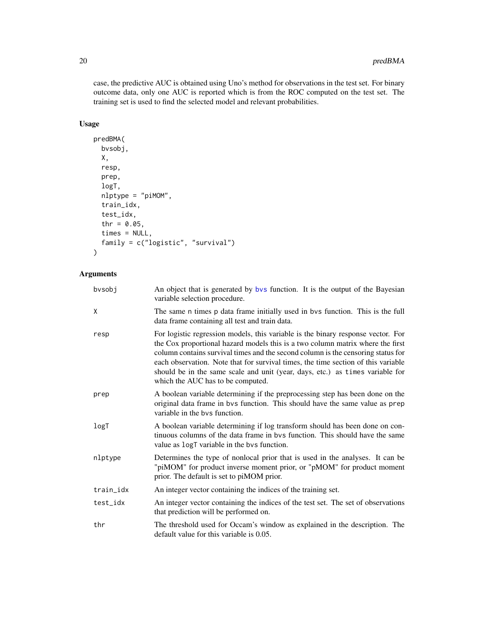case, the predictive AUC is obtained using Uno's method for observations in the test set. For binary outcome data, only one AUC is reported which is from the ROC computed on the test set. The training set is used to find the selected model and relevant probabilities.

### Usage

```
predBMA(
  bvsobj,
  X,
  resp,
  prep,
  logT,
  nlptype = "piMOM",
  train_idx,
  test_idx,
  thr = 0.05,
  times = NULL,
  family = c("logistic", "survival")
\mathcal{L}
```
### Arguments

| bvsobj    | An object that is generated by by function. It is the output of the Bayesian<br>variable selection procedure.                                                                                                                                                                                                                                                                                                                                                     |
|-----------|-------------------------------------------------------------------------------------------------------------------------------------------------------------------------------------------------------------------------------------------------------------------------------------------------------------------------------------------------------------------------------------------------------------------------------------------------------------------|
| Χ         | The same n times p data frame initially used in by s function. This is the full<br>data frame containing all test and train data.                                                                                                                                                                                                                                                                                                                                 |
| resp      | For logistic regression models, this variable is the binary response vector. For<br>the Cox proportional hazard models this is a two column matrix where the first<br>column contains survival times and the second column is the censoring status for<br>each observation. Note that for survival times, the time section of this variable<br>should be in the same scale and unit (year, days, etc.) as times variable for<br>which the AUC has to be computed. |
| prep      | A boolean variable determining if the preprocessing step has been done on the<br>original data frame in bvs function. This should have the same value as prep<br>variable in the bys function.                                                                                                                                                                                                                                                                    |
| log T     | A boolean variable determining if log transform should has been done on con-<br>tinuous columns of the data frame in bys function. This should have the same<br>value as $logT$ variable in the bys function.                                                                                                                                                                                                                                                     |
| nlptype   | Determines the type of nonlocal prior that is used in the analyses. It can be<br>"piMOM" for product inverse moment prior, or "pMOM" for product moment<br>prior. The default is set to piMOM prior.                                                                                                                                                                                                                                                              |
| train_idx | An integer vector containing the indices of the training set.                                                                                                                                                                                                                                                                                                                                                                                                     |
| test_idx  | An integer vector containing the indices of the test set. The set of observations<br>that prediction will be performed on.                                                                                                                                                                                                                                                                                                                                        |
| thr       | The threshold used for Occam's window as explained in the description. The<br>default value for this variable is 0.05.                                                                                                                                                                                                                                                                                                                                            |

<span id="page-19-0"></span>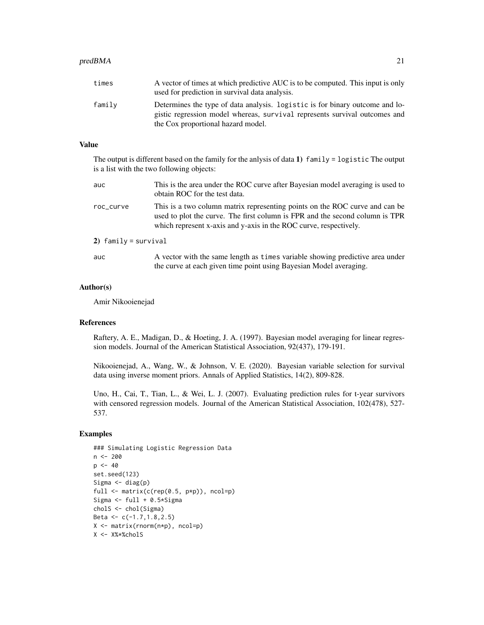### $predBMA$  21

| times  | A vector of times at which predictive AUC is to be computed. This input is only<br>used for prediction in survival data analysis.                                                                |
|--------|--------------------------------------------------------------------------------------------------------------------------------------------------------------------------------------------------|
| family | Determines the type of data analysis. Logistic is for binary outcome and lo-<br>gistic regression model whereas, survival represents survival outcomes and<br>the Cox proportional hazard model. |

### Value

The output is different based on the family for the anlysis of data  $1$ ) family = logistic The output is a list with the two following objects:

| auc.                 | This is the area under the ROC curve after Bayesian model averaging is used to<br>obtain ROC for the test data.                                                                                                                  |
|----------------------|----------------------------------------------------------------------------------------------------------------------------------------------------------------------------------------------------------------------------------|
| roc_curve            | This is a two column matrix representing points on the ROC curve and can be<br>used to plot the curve. The first column is FPR and the second column is TPR<br>which represent x-axis and y-axis in the ROC curve, respectively. |
| 2) family = survival |                                                                                                                                                                                                                                  |
| auc                  | A vector with the same length as times variable showing predictive area under<br>the curve at each given time point using Bayesian Model averaging.                                                                              |

### Author(s)

Amir Nikooienejad

### References

Raftery, A. E., Madigan, D., & Hoeting, J. A. (1997). Bayesian model averaging for linear regression models. Journal of the American Statistical Association, 92(437), 179-191.

Nikooienejad, A., Wang, W., & Johnson, V. E. (2020). Bayesian variable selection for survival data using inverse moment priors. Annals of Applied Statistics, 14(2), 809-828.

Uno, H., Cai, T., Tian, L., & Wei, L. J. (2007). Evaluating prediction rules for t-year survivors with censored regression models. Journal of the American Statistical Association, 102(478), 527- 537.

### Examples

```
### Simulating Logistic Regression Data
n <- 200
p \le -40set.seed(123)
Sigma \leftarrow diag(p)
full \leq matrix(c(rep(0.5, p*p)), ncol=p)
Sigma <- full + 0.5*Sigma
cholS <- chol(Sigma)
Beta <- c(-1.7,1.8,2.5)
X <- matrix(rnorm(n*p), ncol=p)
X <- X%*%cholS
```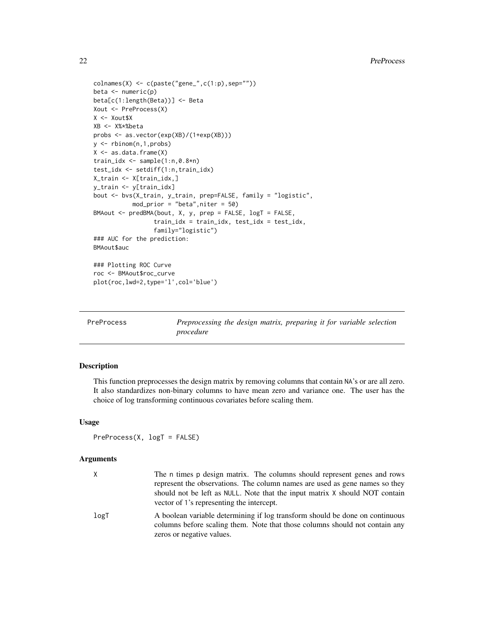```
colnames(X) \leq c(paste("gene_", c(1:p), sep=""))
beta <- numeric(p)
beta[c(1:length(Beta))] <- Beta
Xout <- PreProcess(X)
X <- Xout$X
XB <- X%*%beta
probs <- as.vector(exp(XB)/(1+exp(XB)))
y <- rbinom(n,1,probs)
X <- as.data.frame(X)
train_idx \leq sample(1:n, 0.8*n)test_idx <- setdiff(1:n,train_idx)
X_train <- X[train_idx,]
y_train <- y[train_idx]
bout <- bvs(X_train, y_train, prep=FALSE, family = "logistic",
           mod_prior = "beta",niter = 50)
BMAout <- predBMA(bout, X, y, prep = FALSE, logT = FALSE,
                 train_idx = train_idx, test_idx = test_idx,
                 family="logistic")
### AUC for the prediction:
BMAout$auc
### Plotting ROC Curve
roc <- BMAout$roc_curve
plot(roc,lwd=2,type='l',col='blue')
```

| reProcess' | Preprocessing th |  |
|------------|------------------|--|
|            | $\mathbf{1}$     |  |

<span id="page-21-1"></span>PreProcess *Preprocessing the design matrix, preparing it for variable selection procedure*

### Description

This function preprocesses the design matrix by removing columns that contain NA's or are all zero. It also standardizes non-binary columns to have mean zero and variance one. The user has the choice of log transforming continuous covariates before scaling them.

### Usage

```
PreProcess(X, logT = FALSE)
```
### Arguments

| X.   | The n times p design matrix. The columns should represent genes and rows                                                                                                                 |
|------|------------------------------------------------------------------------------------------------------------------------------------------------------------------------------------------|
|      | represent the observations. The column names are used as gene names so they                                                                                                              |
|      | should not be left as NULL. Note that the input matrix X should NOT contain<br>vector of 1's representing the intercept.                                                                 |
| logT | A boolean variable determining if log transform should be done on continuous<br>columns before scaling them. Note that those columns should not contain any<br>zeros or negative values. |

<span id="page-21-0"></span>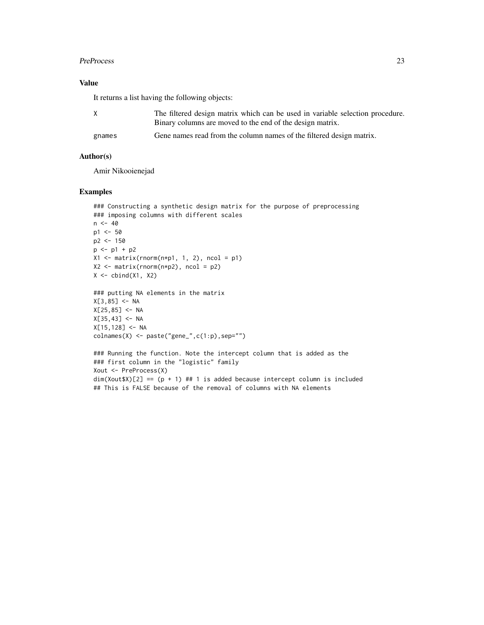### PreProcess 23

### Value

It returns a list having the following objects:

| X.     | The filtered design matrix which can be used in variable selection procedure. |
|--------|-------------------------------------------------------------------------------|
|        | Binary columns are moved to the end of the design matrix.                     |
| gnames | Gene names read from the column names of the filtered design matrix.          |

### Author(s)

Amir Nikooienejad

### Examples

```
### Constructing a synthetic design matrix for the purpose of preprocessing
### imposing columns with different scales
n < -40p1 <- 50
p2 < -150p \leftarrow p1 + p2X1 \leftarrow matrix(rnorm(n*p1, 1, 2), ncol = p1)X2 \le - matrix(rnorm(n*p2), ncol = p2)
X \leftarrow \text{cbind}(X1, X2)### putting NA elements in the matrix
X[3, 85] <- NA
X[25, 85] <- NA
X[35, 43] <- NA
X[15, 128] <- NA
\text{columns}(X) \leq \text{paste}("gene", c(1:p), sep="")
```

```
### Running the function. Note the intercept column that is added as the
### first column in the "logistic" family
Xout <- PreProcess(X)
dim(Xout $X)[2] == (p + 1) # # 1 is added because intercept column is included## This is FALSE because of the removal of columns with NA elements
```